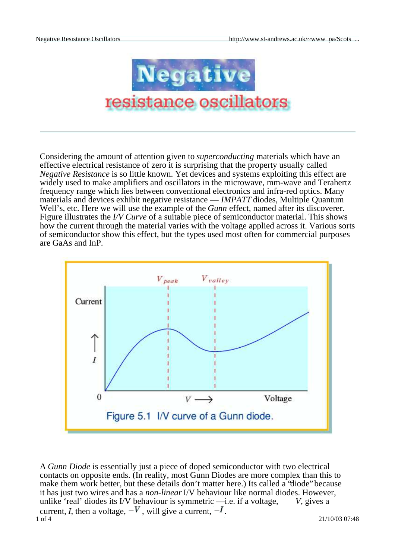

Considering the amount of attention given to *superconducting* materials which have an effective electrical resistance of zero it is surprising that the property usually called *Negative Resistance* is so little known. Yet devices and systems exploiting this effect are widely used to make amplifiers and oscillators in the microwave, mm-wave and Terahertz frequency range which lies between conventional electronics and infra-red optics. Many materials and devices exhibit negative resistance — *IMPATT* diodes, Multiple Quantum Well's, etc. Here we will use the example of the *Gunn* effect, named after its discoverer. Figure illustrates the *I/V Curve* of a suitable piece of semiconductor material. This shows how the current through the material varies with the voltage applied across it. Various sorts of semiconductor show this effect, but the types used most often for commercial purposes are GaAs and InP.



1 of 4 21/10/03 07:48 A *Gunn Diode* is essentially just a piece of doped semiconductor with two electrical contacts on opposite ends. (In reality, most Gunn Diodes are more complex than this to make them work better, but these details don't matter here.) Its called a 'diode' because it has just two wires and has a *non-linear*I/V behaviour like normal diodes. However, unlike 'real' diodes its I/V behaviour is symmetric —i.e. if a voltage, *V*, gives a current, *I*, then a voltage,  $-V$ , will give a current,  $-I$ .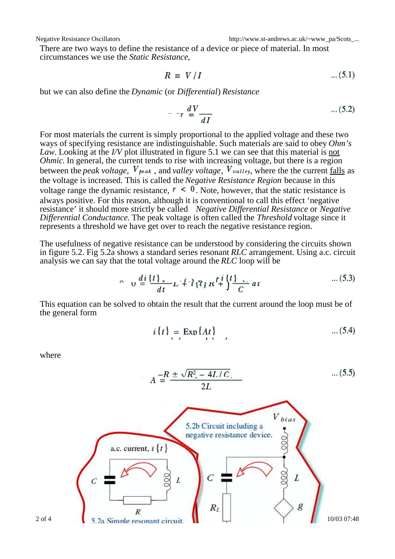There are two ways to define the resistance of a device or piece of material. In most circumstances we use the *Static Resistance*,

$$
R \equiv V/I \tag{5.1}
$$

but we can also define the *Dynamic* (or *Differential*) *Resistance*

$$
T = \frac{dV}{dI} \tag{5.2}
$$

For most materials the current is simply proportional to the applied voltage and these two ways of specifying resistance are indistinguishable. Such materials are said to obey *Ohm's Law*. Looking at the *I/V* plot illustrated in figure 5.1 we can see that this material is not *Ohmic*. In general, the current tends to rise with increasing voltage, but there is a region between the *peak voltage*,  $V_{peak}$ , and *valley voltage*,  $V_{value}$ , where the the current falls as the voltage is increased. This is called the *Negative Resistance Region* because in this voltage range the dynamic resistance,  $r < 0$ . Note, however, that the static resistance is always positive. For this reason, although it is conventional to call this effect 'negative resistance' it should more strictly be called *Negative Differential Resistance* or *Negative Differential Conductance*. The peak voltage is often called the *Threshold* voltage since it represents a threshold we have get over to reach the negative resistance region.

The usefulness of negative resistance can be understood by considering the circuits shown in figure 5.2. Fig 5.2a shows a standard series resonant *RLC* arrangement. Using a.c. circuit analysis we can say that the total voltage around the *RLC* loop will be

$$
\sim u \frac{di}{dt} \frac{\{t\}}{t} + i \frac{1}{2} \pi \frac{t^2}{t^2} \frac{dt}{dt}
$$
...(5.3)

This equation can be solved to obtain the result that the current around the loop must be of the general form

$$
i\{t\} = \operatorname{Exp}\{At\} \tag{5.4}
$$

where

$$
A = \frac{-R \pm \sqrt{R^2 - 4L/C}}{2L}
$$
 ... (5.5)

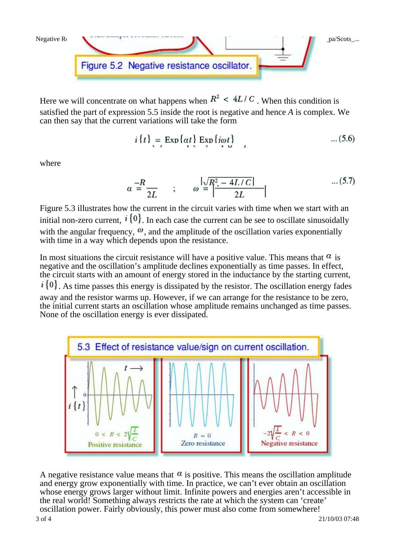

Here we will concentrate on what happens when  $R^2 \leq 4L/C$ . When this condition is satisfied the part of expression 5.5 inside the root is negative and hence *A* is complex. We can then say that the current variations will take the form

$$
i\{t\} = \operatorname{Exp}\{at\} \operatorname{Exp}\{i\omega t\} \qquad \qquad \dots (5.6)
$$

where

$$
\alpha = \frac{-R}{2L} \qquad ; \qquad \omega = \left| \frac{\sqrt{R^2 - 4L/C}}{2L} \right| \qquad \qquad \dots (5.7)
$$

Figure 5.3 illustrates how the current in the circuit varies with time when we start with an initial non-zero current,  $i\{0\}$ . In each case the current can be see to oscillate sinusoidally with the angular frequency,  $\omega$ , and the amplitude of the oscillation varies exponentially with time in a way which depends upon the resistance.

In most situations the circuit resistance will have a positive value. This means that  $\alpha$  is negative and the oscillation's amplitude declines exponentially as time passes. In effect, the circuit starts with an amount of energy stored in the inductance by the starting current,  $\{i\}$ . As time passes this energy is dissipated by the resistor. The oscillation energy fades away and the resistor warms up. However, if we can arrange for the resistance to be zero, the initial current starts an oscillation whose amplitude remains unchanged as time passes. None of the oscillation energy is ever dissipated.



A negative resistance value means that  $\alpha$  is positive. This means the oscillation amplitude and energy grow exponentially with time. In practice, we can't ever obtain an oscillation whose energy grows larger without limit. Infinite powers and energies aren't accessible in the real world! Something always restricts the rate at which the system can 'create' oscillation power. Fairly obviously, this power must also come from somewhere!